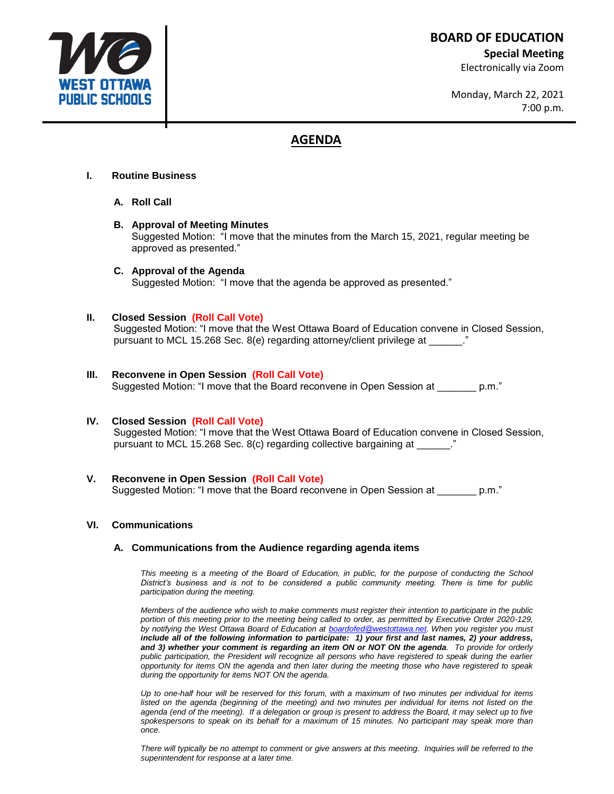**BOARD OF EDUCATION**

**Special Meeting**

Electronically via Zoom

Monday, March 22, 2021 7:00 p.m.

# **AGENDA**

# **I. Routine Business**

- **A. Roll Call**
- **B. Approval of Meeting Minutes** Suggested Motion: "I move that the minutes from the March 15, 2021, regular meeting be approved as presented."
- **C. Approval of the Agenda** Suggested Motion: "I move that the agenda be approved as presented."

# **II. Closed Session (Roll Call Vote)**

Suggested Motion: "I move that the West Ottawa Board of Education convene in Closed Session, pursuant to MCL 15.268 Sec. 8(e) regarding attorney/client privilege at \_\_\_\_\_\_."

# **III. Reconvene in Open Session (Roll Call Vote)**

Suggested Motion: "I move that the Board reconvene in Open Session at \_\_\_\_\_\_\_ p.m."

## **IV. Closed Session (Roll Call Vote)**

Suggested Motion: "I move that the West Ottawa Board of Education convene in Closed Session, pursuant to MCL 15.268 Sec. 8(c) regarding collective bargaining at  $\ddot{\hspace{1cm}}$ .

**V. Reconvene in Open Session (Roll Call Vote)** Suggested Motion: "I move that the Board reconvene in Open Session at \_\_\_\_\_\_\_ p.m."

## **VI. Communications**

## **A. Communications from the Audience regarding agenda items**

This meeting is a meeting of the Board of Education, in public, for the purpose of conducting the School *District's business and is not to be considered a public community meeting. There is time for public participation during the meeting.*

*Members of the audience who wish to make comments must register their intention to participate in the public portion of this meeting prior to the meeting being called to order, as permitted by Executive Order 2020-129, by notifying the West Ottawa Board of Education at [boardofed@westottawa.net.](mailto:boardofed@westottawa.net) When you register you must include all of the following information to participate: 1) your first and last names, 2) your address, and 3) whether your comment is regarding an item ON or NOT ON the agenda. To provide for orderly public participation, the President will recognize all persons who have registered to speak during the earlier opportunity for items ON the agenda and then later during the meeting those who have registered to speak during the opportunity for items NOT ON the agenda.* 

*Up to one-half hour will be reserved for this forum, with a maximum of two minutes per individual for items*  listed on the agenda (beginning of the meeting) and two minutes per individual for items not listed on the *agenda (end of the meeting). If a delegation or group is present to address the Board, it may select up to five spokespersons to speak on its behalf for a maximum of 15 minutes. No participant may speak more than once.*

There will typically be no attempt to comment or give answers at this meeting. Inquiries will be referred to the *superintendent for response at a later time.*